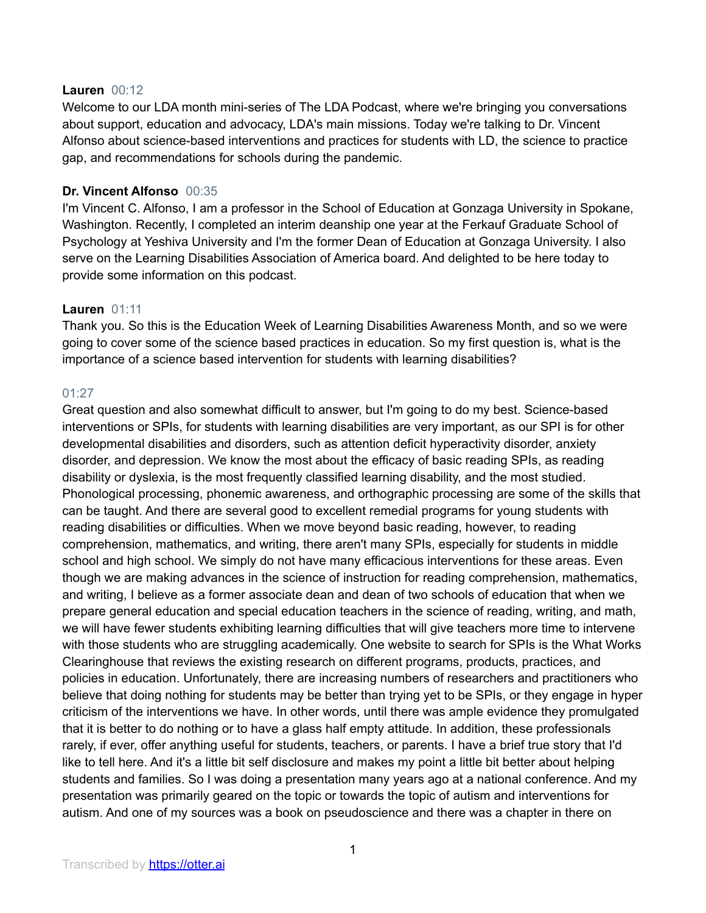### **Lauren** 00:12

Welcome to our LDA month mini-series of The LDA Podcast, where we're bringing you conversations about support, education and advocacy, LDA's main missions. Today we're talking to Dr. Vincent Alfonso about science-based interventions and practices for students with LD, the science to practice gap, and recommendations for schools during the pandemic.

# **Dr. Vincent Alfonso** 00:35

I'm Vincent C. Alfonso, I am a professor in the School of Education at Gonzaga University in Spokane, Washington. Recently, I completed an interim deanship one year at the Ferkauf Graduate School of Psychology at Yeshiva University and I'm the former Dean of Education at Gonzaga University. I also serve on the Learning Disabilities Association of America board. And delighted to be here today to provide some information on this podcast.

### **Lauren** 01:11

Thank you. So this is the Education Week of Learning Disabilities Awareness Month, and so we were going to cover some of the science based practices in education. So my first question is, what is the importance of a science based intervention for students with learning disabilities?

### 01:27

Great question and also somewhat difficult to answer, but I'm going to do my best. Science-based interventions or SPIs, for students with learning disabilities are very important, as our SPI is for other developmental disabilities and disorders, such as attention deficit hyperactivity disorder, anxiety disorder, and depression. We know the most about the efficacy of basic reading SPIs, as reading disability or dyslexia, is the most frequently classified learning disability, and the most studied. Phonological processing, phonemic awareness, and orthographic processing are some of the skills that can be taught. And there are several good to excellent remedial programs for young students with reading disabilities or difficulties. When we move beyond basic reading, however, to reading comprehension, mathematics, and writing, there aren't many SPIs, especially for students in middle school and high school. We simply do not have many efficacious interventions for these areas. Even though we are making advances in the science of instruction for reading comprehension, mathematics, and writing, I believe as a former associate dean and dean of two schools of education that when we prepare general education and special education teachers in the science of reading, writing, and math, we will have fewer students exhibiting learning difficulties that will give teachers more time to intervene with those students who are struggling academically. One website to search for SPIs is the What Works Clearinghouse that reviews the existing research on different programs, products, practices, and policies in education. Unfortunately, there are increasing numbers of researchers and practitioners who believe that doing nothing for students may be better than trying yet to be SPIs, or they engage in hyper criticism of the interventions we have. In other words, until there was ample evidence they promulgated that it is better to do nothing or to have a glass half empty attitude. In addition, these professionals rarely, if ever, offer anything useful for students, teachers, or parents. I have a brief true story that I'd like to tell here. And it's a little bit self disclosure and makes my point a little bit better about helping students and families. So I was doing a presentation many years ago at a national conference. And my presentation was primarily geared on the topic or towards the topic of autism and interventions for autism. And one of my sources was a book on pseudoscience and there was a chapter in there on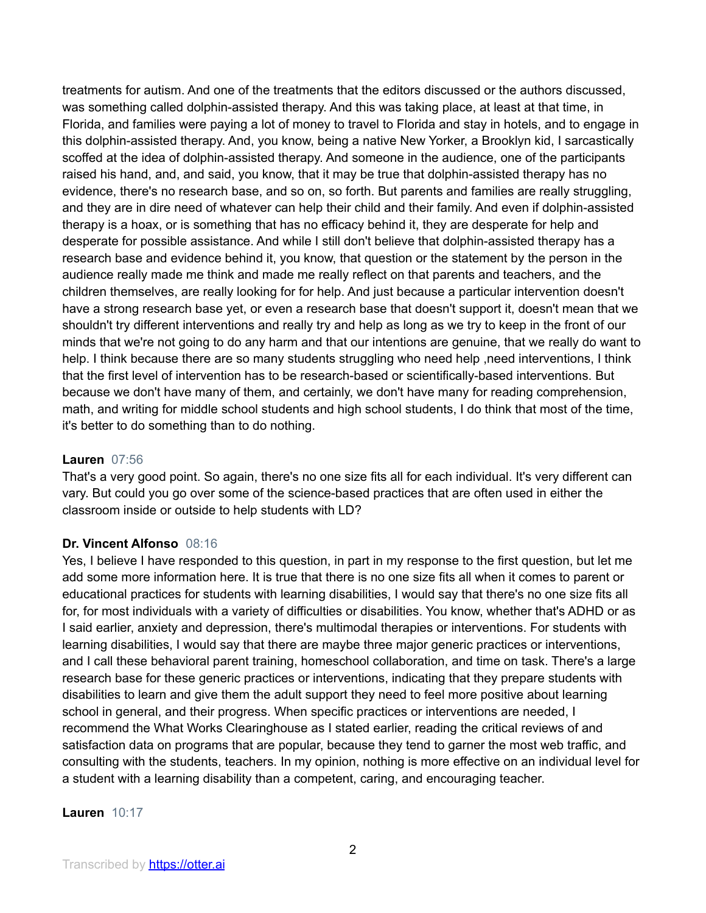treatments for autism. And one of the treatments that the editors discussed or the authors discussed, was something called dolphin-assisted therapy. And this was taking place, at least at that time, in Florida, and families were paying a lot of money to travel to Florida and stay in hotels, and to engage in this dolphin-assisted therapy. And, you know, being a native New Yorker, a Brooklyn kid, I sarcastically scoffed at the idea of dolphin-assisted therapy. And someone in the audience, one of the participants raised his hand, and, and said, you know, that it may be true that dolphin-assisted therapy has no evidence, there's no research base, and so on, so forth. But parents and families are really struggling, and they are in dire need of whatever can help their child and their family. And even if dolphin-assisted therapy is a hoax, or is something that has no efficacy behind it, they are desperate for help and desperate for possible assistance. And while I still don't believe that dolphin-assisted therapy has a research base and evidence behind it, you know, that question or the statement by the person in the audience really made me think and made me really reflect on that parents and teachers, and the children themselves, are really looking for for help. And just because a particular intervention doesn't have a strong research base yet, or even a research base that doesn't support it, doesn't mean that we shouldn't try different interventions and really try and help as long as we try to keep in the front of our minds that we're not going to do any harm and that our intentions are genuine, that we really do want to help. I think because there are so many students struggling who need help, need interventions, I think that the first level of intervention has to be research-based or scientifically-based interventions. But because we don't have many of them, and certainly, we don't have many for reading comprehension, math, and writing for middle school students and high school students, I do think that most of the time, it's better to do something than to do nothing.

### **Lauren** 07:56

That's a very good point. So again, there's no one size fits all for each individual. It's very different can vary. But could you go over some of the science-based practices that are often used in either the classroom inside or outside to help students with LD?

#### **Dr. Vincent Alfonso** 08:16

Yes, I believe I have responded to this question, in part in my response to the first question, but let me add some more information here. It is true that there is no one size fits all when it comes to parent or educational practices for students with learning disabilities, I would say that there's no one size fits all for, for most individuals with a variety of difficulties or disabilities. You know, whether that's ADHD or as I said earlier, anxiety and depression, there's multimodal therapies or interventions. For students with learning disabilities, I would say that there are maybe three major generic practices or interventions, and I call these behavioral parent training, homeschool collaboration, and time on task. There's a large research base for these generic practices or interventions, indicating that they prepare students with disabilities to learn and give them the adult support they need to feel more positive about learning school in general, and their progress. When specific practices or interventions are needed, I recommend the What Works Clearinghouse as I stated earlier, reading the critical reviews of and satisfaction data on programs that are popular, because they tend to garner the most web traffic, and consulting with the students, teachers. In my opinion, nothing is more effective on an individual level for a student with a learning disability than a competent, caring, and encouraging teacher.

**Lauren** 10:17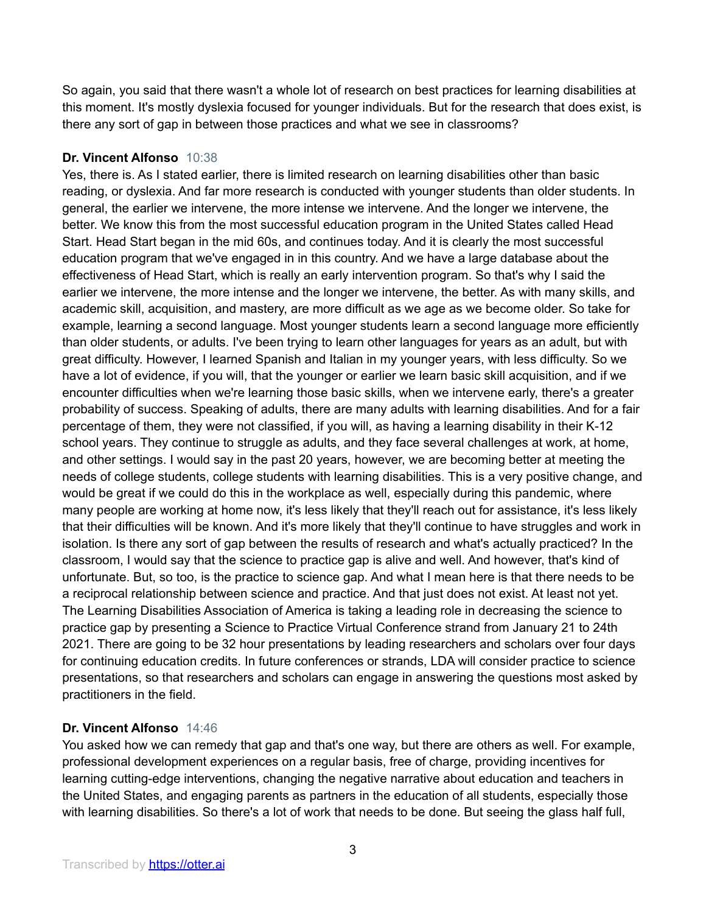So again, you said that there wasn't a whole lot of research on best practices for learning disabilities at this moment. It's mostly dyslexia focused for younger individuals. But for the research that does exist, is there any sort of gap in between those practices and what we see in classrooms?

# **Dr. Vincent Alfonso** 10:38

Yes, there is. As I stated earlier, there is limited research on learning disabilities other than basic reading, or dyslexia. And far more research is conducted with younger students than older students. In general, the earlier we intervene, the more intense we intervene. And the longer we intervene, the better. We know this from the most successful education program in the United States called Head Start. Head Start began in the mid 60s, and continues today. And it is clearly the most successful education program that we've engaged in in this country. And we have a large database about the effectiveness of Head Start, which is really an early intervention program. So that's why I said the earlier we intervene, the more intense and the longer we intervene, the better. As with many skills, and academic skill, acquisition, and mastery, are more difficult as we age as we become older. So take for example, learning a second language. Most younger students learn a second language more efficiently than older students, or adults. I've been trying to learn other languages for years as an adult, but with great difficulty. However, I learned Spanish and Italian in my younger years, with less difficulty. So we have a lot of evidence, if you will, that the younger or earlier we learn basic skill acquisition, and if we encounter difficulties when we're learning those basic skills, when we intervene early, there's a greater probability of success. Speaking of adults, there are many adults with learning disabilities. And for a fair percentage of them, they were not classified, if you will, as having a learning disability in their K-12 school years. They continue to struggle as adults, and they face several challenges at work, at home, and other settings. I would say in the past 20 years, however, we are becoming better at meeting the needs of college students, college students with learning disabilities. This is a very positive change, and would be great if we could do this in the workplace as well, especially during this pandemic, where many people are working at home now, it's less likely that they'll reach out for assistance, it's less likely that their difficulties will be known. And it's more likely that they'll continue to have struggles and work in isolation. Is there any sort of gap between the results of research and what's actually practiced? In the classroom, I would say that the science to practice gap is alive and well. And however, that's kind of unfortunate. But, so too, is the practice to science gap. And what I mean here is that there needs to be a reciprocal relationship between science and practice. And that just does not exist. At least not yet. The Learning Disabilities Association of America is taking a leading role in decreasing the science to practice gap by presenting a Science to Practice Virtual Conference strand from January 21 to 24th 2021. There are going to be 32 hour presentations by leading researchers and scholars over four days for continuing education credits. In future conferences or strands, LDA will consider practice to science presentations, so that researchers and scholars can engage in answering the questions most asked by practitioners in the field.

# **Dr. Vincent Alfonso** 14:46

You asked how we can remedy that gap and that's one way, but there are others as well. For example, professional development experiences on a regular basis, free of charge, providing incentives for learning cutting-edge interventions, changing the negative narrative about education and teachers in the United States, and engaging parents as partners in the education of all students, especially those with learning disabilities. So there's a lot of work that needs to be done. But seeing the glass half full,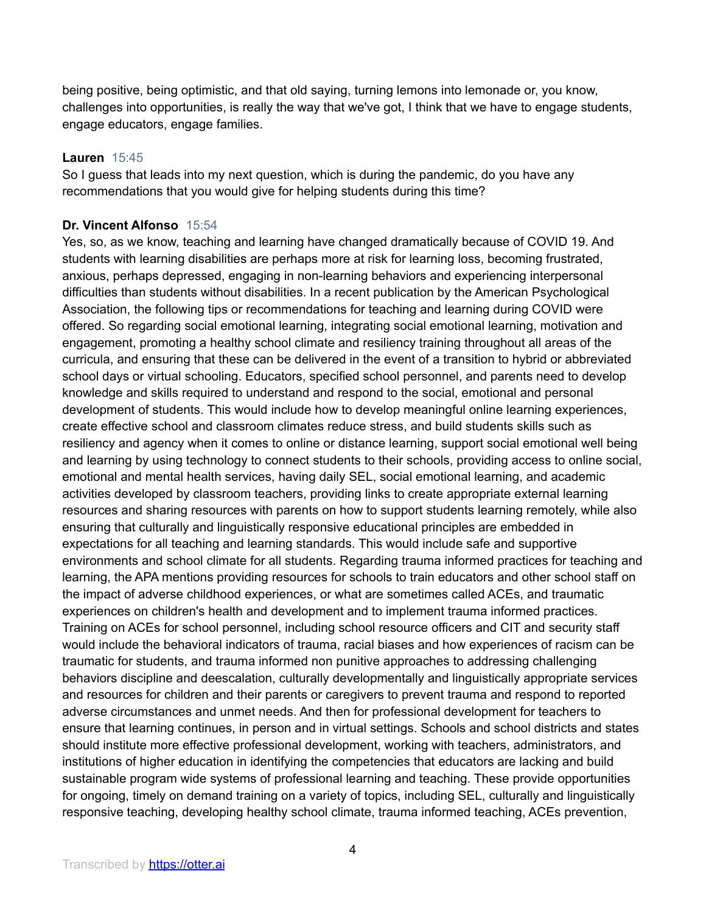being positive, being optimistic, and that old saying, turning lemons into lemonade or, you know, challenges into opportunities, is really the way that we've got, I think that we have to engage students, engage educators, engage families.

### **Lauren** 15:45

So I guess that leads into my next question, which is during the pandemic, do you have any recommendations that you would give for helping students during this time?

# **Dr. Vincent Alfonso** 15:54

Yes, so, as we know, teaching and learning have changed dramatically because of COVID 19. And students with learning disabilities are perhaps more at risk for learning loss, becoming frustrated, anxious, perhaps depressed, engaging in non-learning behaviors and experiencing interpersonal difficulties than students without disabilities. In a recent publication by the American Psychological Association, the following tips or recommendations for teaching and learning during COVID were offered. So regarding social emotional learning, integrating social emotional learning, motivation and engagement, promoting a healthy school climate and resiliency training throughout all areas of the curricula, and ensuring that these can be delivered in the event of a transition to hybrid or abbreviated school days or virtual schooling. Educators, specified school personnel, and parents need to develop knowledge and skills required to understand and respond to the social, emotional and personal development of students. This would include how to develop meaningful online learning experiences, create effective school and classroom climates reduce stress, and build students skills such as resiliency and agency when it comes to online or distance learning, support social emotional well being and learning by using technology to connect students to their schools, providing access to online social, emotional and mental health services, having daily SEL, social emotional learning, and academic activities developed by classroom teachers, providing links to create appropriate external learning resources and sharing resources with parents on how to support students learning remotely, while also ensuring that culturally and linguistically responsive educational principles are embedded in expectations for all teaching and learning standards. This would include safe and supportive environments and school climate for all students. Regarding trauma informed practices for teaching and learning, the APA mentions providing resources for schools to train educators and other school staff on the impact of adverse childhood experiences, or what are sometimes called ACEs, and traumatic experiences on children's health and development and to implement trauma informed practices. Training on ACEs for school personnel, including school resource officers and CIT and security staff would include the behavioral indicators of trauma, racial biases and how experiences of racism can be traumatic for students, and trauma informed non punitive approaches to addressing challenging behaviors discipline and deescalation, culturally developmentally and linguistically appropriate services and resources for children and their parents or caregivers to prevent trauma and respond to reported adverse circumstances and unmet needs. And then for professional development for teachers to ensure that learning continues, in person and in virtual settings. Schools and school districts and states should institute more effective professional development, working with teachers, administrators, and institutions of higher education in identifying the competencies that educators are lacking and build sustainable program wide systems of professional learning and teaching. These provide opportunities for ongoing, timely on demand training on a variety of topics, including SEL, culturally and linguistically responsive teaching, developing healthy school climate, trauma informed teaching, ACEs prevention,